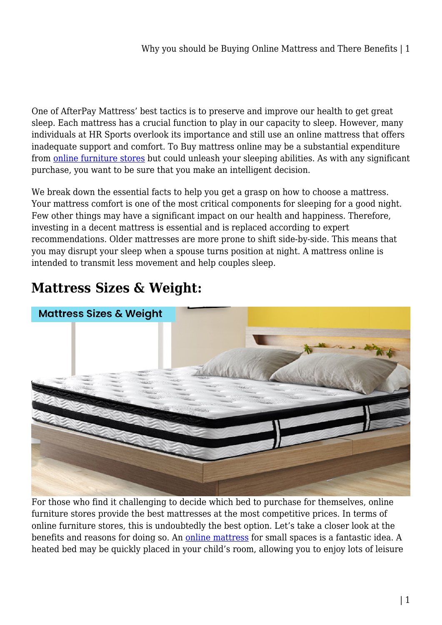One of AfterPay Mattress' best tactics is to preserve and improve our health to get great sleep. Each mattress has a crucial function to play in our capacity to sleep. However, many individuals at HR Sports overlook its importance and still use an online mattress that offers inadequate support and comfort. To Buy mattress online may be a substantial expenditure from [online furniture stores](https://www.hr-sports.com.au/furniture/) but could unleash your sleeping abilities. As with any significant purchase, you want to be sure that you make an intelligent decision.

We break down the essential facts to help you get a grasp on how to choose a mattress. Your mattress comfort is one of the most critical components for sleeping for a good night. Few other things may have a significant impact on our health and happiness. Therefore, investing in a decent mattress is essential and is replaced according to expert recommendations. Older mattresses are more prone to shift side-by-side. This means that you may disrupt your sleep when a spouse turns position at night. A mattress online is intended to transmit less movement and help couples sleep.

# **Mattress Sizes & Weight:**



For those who find it challenging to decide which bed to purchase for themselves, online furniture stores provide the best mattresses at the most competitive prices. In terms of online furniture stores, this is undoubtedly the best option. Let's take a closer look at the benefits and reasons for doing so. An [online mattress](https://www.hr-sports.com.au/furniture/mattress/) for small spaces is a fantastic idea. A heated bed may be quickly placed in your child's room, allowing you to enjoy lots of leisure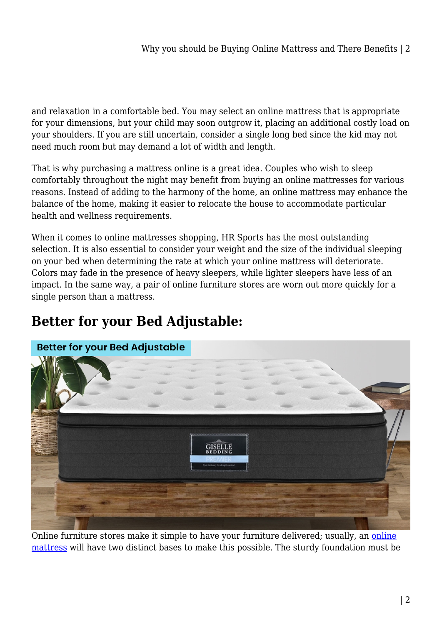and relaxation in a comfortable bed. You may select an online mattress that is appropriate for your dimensions, but your child may soon outgrow it, placing an additional costly load on your shoulders. If you are still uncertain, consider a single long bed since the kid may not need much room but may demand a lot of width and length.

That is why purchasing a mattress online is a great idea. Couples who wish to sleep comfortably throughout the night may benefit from buying an online mattresses for various reasons. Instead of adding to the harmony of the home, an online mattress may enhance the balance of the home, making it easier to relocate the house to accommodate particular health and wellness requirements.

When it comes to online mattresses shopping, HR Sports has the most outstanding selection. It is also essential to consider your weight and the size of the individual sleeping on your bed when determining the rate at which your online mattress will deteriorate. Colors may fade in the presence of heavy sleepers, while lighter sleepers have less of an impact. In the same way, a pair of online furniture stores are worn out more quickly for a single person than a mattress.

## **Better for your Bed Adjustable:**



Online furniture stores make it simple to have your furniture delivered; usually, an [online](https://nutritionarticles.com.au/category/furniture/) [mattress](https://nutritionarticles.com.au/category/furniture/) will have two distinct bases to make this possible. The sturdy foundation must be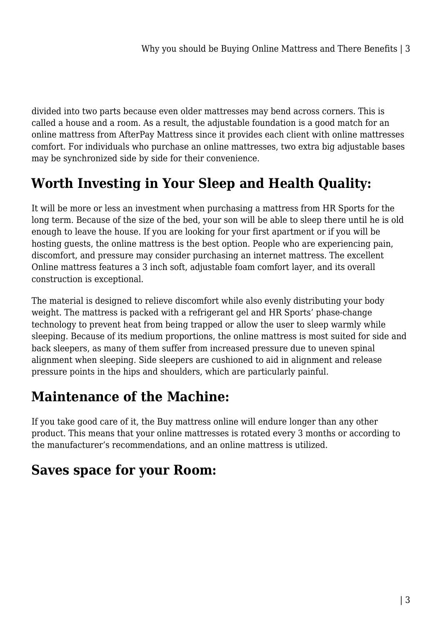divided into two parts because even older mattresses may bend across corners. This is called a house and a room. As a result, the adjustable foundation is a good match for an online mattress from AfterPay Mattress since it provides each client with online mattresses comfort. For individuals who purchase an online mattresses, two extra big adjustable bases may be synchronized side by side for their convenience.

### **Worth Investing in Your Sleep and Health Quality:**

It will be more or less an investment when purchasing a mattress from HR Sports for the long term. Because of the size of the bed, your son will be able to sleep there until he is old enough to leave the house. If you are looking for your first apartment or if you will be hosting guests, the online mattress is the best option. People who are experiencing pain, discomfort, and pressure may consider purchasing an internet mattress. The excellent Online mattress features a 3 inch soft, adjustable foam comfort layer, and its overall construction is exceptional.

The material is designed to relieve discomfort while also evenly distributing your body weight. The mattress is packed with a refrigerant gel and HR Sports' phase-change technology to prevent heat from being trapped or allow the user to sleep warmly while sleeping. Because of its medium proportions, the online mattress is most suited for side and back sleepers, as many of them suffer from increased pressure due to uneven spinal alignment when sleeping. Side sleepers are cushioned to aid in alignment and release pressure points in the hips and shoulders, which are particularly painful.

#### **Maintenance of the Machine:**

If you take good care of it, the Buy mattress online will endure longer than any other product. This means that your online mattresses is rotated every 3 months or according to the manufacturer's recommendations, and an online mattress is utilized.

#### **Saves space for your Room:**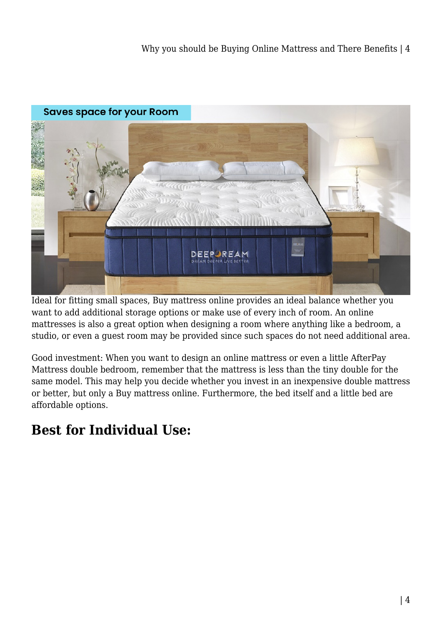

Ideal for fitting small spaces, Buy mattress online provides an ideal balance whether you want to add additional storage options or make use of every inch of room. An online mattresses is also a great option when designing a room where anything like a bedroom, a studio, or even a guest room may be provided since such spaces do not need additional area.

Good investment: When you want to design an online mattress or even a little AfterPay Mattress double bedroom, remember that the mattress is less than the tiny double for the same model. This may help you decide whether you invest in an inexpensive double mattress or better, but only a Buy mattress online. Furthermore, the bed itself and a little bed are affordable options.

## **Best for Individual Use:**